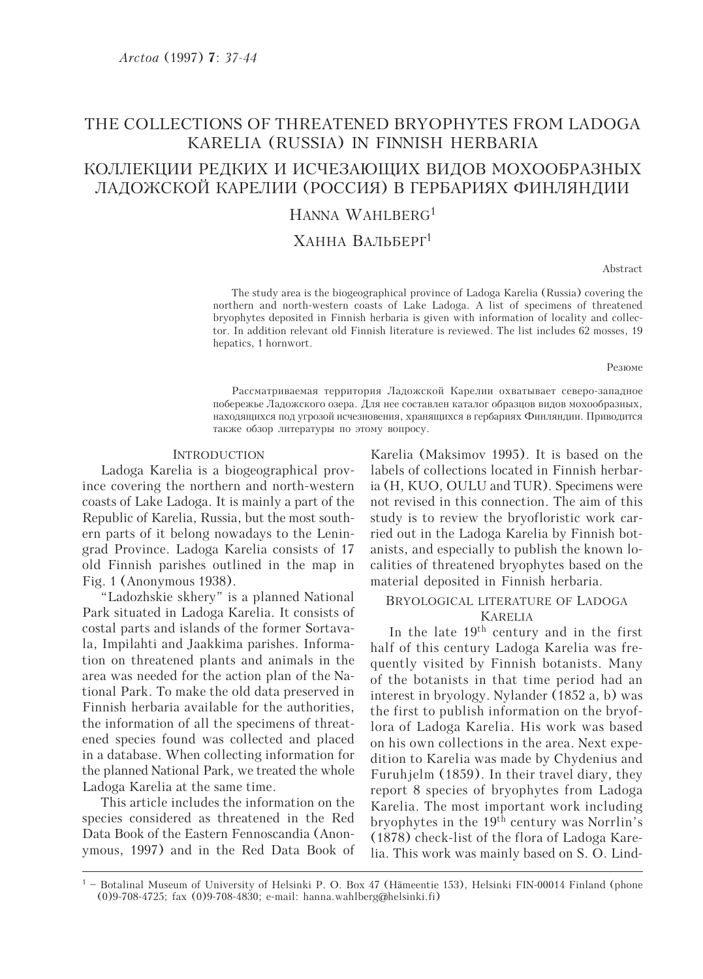# THE COLLECTIONS OF THREATENED BRYOPHYTES FROM LADOGA KARELIA (RUSSIA) IN FINNISH HERBARIA

# КОЛЛЕКЦИИ РЕДКИХ И ИСЧЕЗАЮЩИХ ВИДОВ МОХООБРАЗНЫХ ЛАДОЖСКОЙ КАРЕЛИИ (РОССИЯ) В ГЕРБАРИЯХ ФИНЛЯНДИИ

# HANNA WAHLBERG<sup>1</sup>

# $X$ AHHA  $B$ A*J*I**bEPI**<sup>1</sup>

Abstract

The study area is the biogeographical province of Ladoga Karelia (Russia) covering the northern and north-western coasts of Lake Ladoga. A list of specimens of threatened bryophytes deposited in Finnish herbaria is given with information of locality and collector. In addition relevant old Finnish literature is reviewed. The list includes 62 mosses, 19 hepatics, 1 hornwort.

Pesione

Рассматриваемая территория Ладожской Карелии охватывает северо-западное побережье Ладожского озера. Для нее составлен каталог образцов видов мохообразных, находящихся под угрозой исчезновения, хранящихся в гербариях Финляндии. Приводится также обзор литературы по этому вопросу.

### INTRODUCTION

Ladoga Karelia is a biogeographical province covering the northern and north-western coasts of Lake Ladoga. It is mainly a part of the Republic of Karelia, Russia, but the most southern parts of it belong nowadays to the Leningrad Province. Ladoga Karelia consists of 17 old Finnish parishes outlined in the map in Fig. 1 (Anonymous 1938).

"Ladozhskie skhery" is a planned National Park situated in Ladoga Karelia. It consists of costal parts and islands of the former Sortavala, Impilahti and Jaakkima parishes. Information on threatened plants and animals in the area was needed for the action plan of the National Park. To make the old data preserved in Finnish herbaria available for the authorities, the information of all the specimens of threatened species found was collected and placed in a database. When collecting information for the planned National Park, we treated the whole Ladoga Karelia at the same time.

This article includes the information on the species considered as threatened in the Red Data Book of the Eastern Fennoscandia (Anonymous, 1997) and in the Red Data Book of Karelia (Maksimov 1995). It is based on the labels of collections located in Finnish herbaria (H, KUO, OULU and TUR). Specimens were not revised in this connection. The aim of this study is to review the bryofloristic work carried out in the Ladoga Karelia by Finnish botanists, and especially to publish the known localities of threatened bryophytes based on the material deposited in Finnish herbaria.

## BRYOLOGICAL LITERATURE OF LADOGA KARELIA

In the late 19th century and in the first half of this century Ladoga Karelia was frequently visited by Finnish botanists. Many of the botanists in that time period had an interest in bryology. Nylander (1852 a, b) was the first to publish information on the bryoflora of Ladoga Karelia. His work was based on his own collections in the area. Next expedition to Karelia was made by Chydenius and Furuhjelm (1859). In their travel diary, they report 8 species of bryophytes from Ladoga Karelia. The most important work including bryophytes in the 19th century was Norrlin's (1878) check-list of the flora of Ladoga Karelia. This work was mainly based on S. O. Lind-

<sup>1</sup> – Botalinal Museum of University of Helsinki P. O. Box 47 (Hämeentie 153), Helsinki FIN-00014 Finland (phone (0)9-708-4725; fax (0)9-708-4830; e-mail: hanna.wahlberg@helsinki.fi)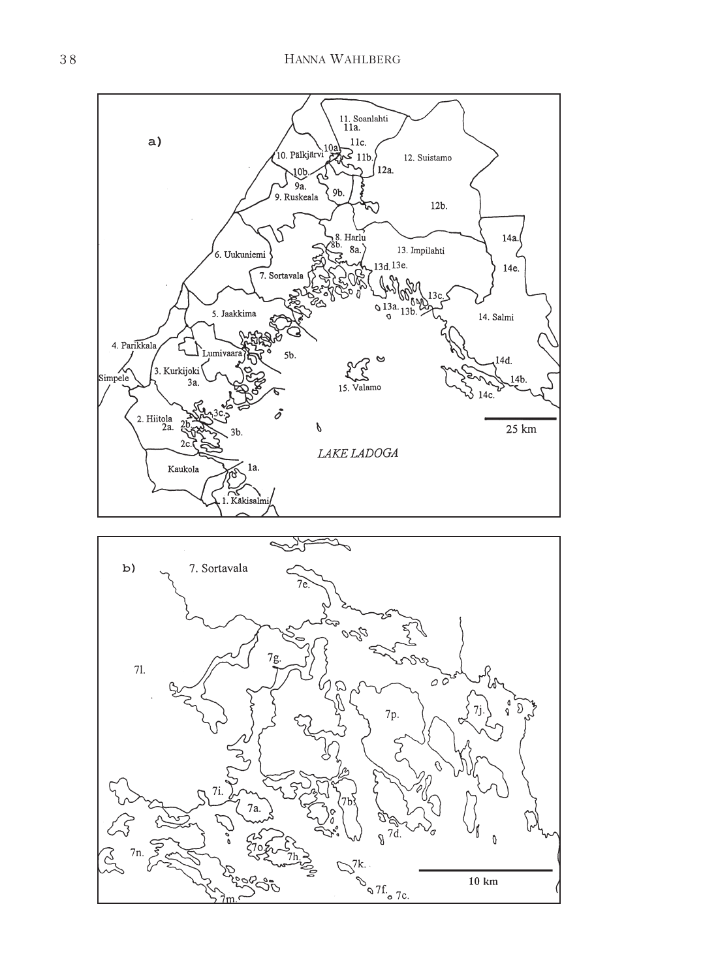

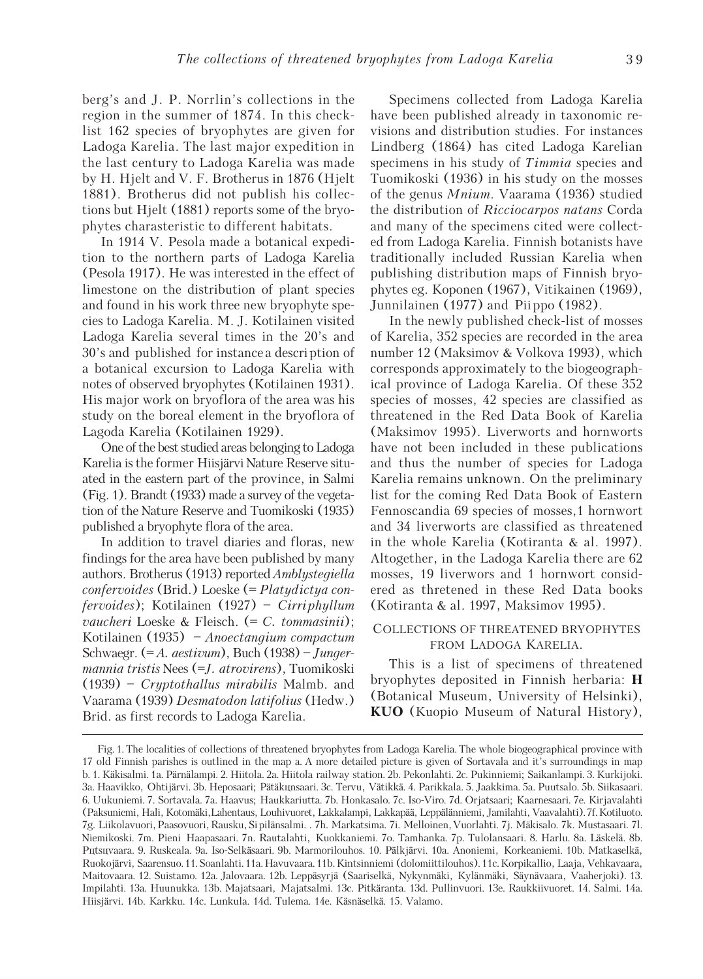berg's and J. P. Norrlin's collections in the region in the summer of 1874. In this checklist 162 species of bryophytes are given for Ladoga Karelia. The last major expedition in the last century to Ladoga Karelia was made by H. Hjelt and V. F. Brotherus in 1876 (Hjelt 1881). Brotherus did not publish his collections but Hjelt (1881) reports some of the bryophytes charasteristic to different habitats.

In 1914 V. Pesola made a botanical expedition to the northern parts of Ladoga Karelia (Pesola 1917). He was interested in the effect of limestone on the distribution of plant species and found in his work three new bryophyte species to Ladoga Karelia. M. J. Kotilainen visited Ladoga Karelia several times in the 20's and 30's and published for instance a description of a botanical excursion to Ladoga Karelia with notes of observed bryophytes (Kotilainen 1931). His major work on bryoflora of the area was his study on the boreal element in the bryoflora of Lagoda Karelia (Kotilainen 1929).

One of the best studied areas belonging to Ladoga Karelia is the former Hiisjärvi Nature Reserve situated in the eastern part of the province, in Salmi (Fig. 1). Brandt (1933) made a survey of the vegetation of the Nature Reserve and Tuomikoski (1935) published a bryophyte flora of the area.

In addition to travel diaries and floras, new findings for the area have been published by many authors. Brotherus (1913) reported Amblystegiella confervoides (Brid.) Loeske (= Platydictya confervoides); Kotilainen (1927) – Cirriphyllum vaucheri Loeske & Fleisch.  $(= C.$  tommasinii); Kotilainen (1935) – Anoectangium compactum Schwaegr.  $(= A.$  *aestivum* $)$ , Buch  $(1938)$  – *Junger*mannia tristis Nees (= *J. atrovirens*), Tuomikoski (1939) – Cryptothallus mirabilis Malmb. and Vaarama (1939) Desmatodon latifolius (Hedw.) Brid. as first records to Ladoga Karelia.

Specimens collected from Ladoga Karelia have been published already in taxonomic revisions and distribution studies. For instances Lindberg (1864) has cited Ladoga Karelian specimens in his study of *Timmia* species and Tuomikoski (1936) in his study on the mosses of the genus Mnium. Vaarama (1936) studied the distribution of Ricciocarpos natans Corda and many of the specimens cited were collected from Ladoga Karelia. Finnish botanists have traditionally included Russian Karelia when publishing distribution maps of Finnish bryophytes eg. Koponen (1967), Vitikainen (1969), Junnilainen (1977) and Piippo (1982).

In the newly published check-list of mosses of Karelia, 352 species are recorded in the area number 12 (Maksimov & Volkova 1993), which corresponds approximately to the biogeographical province of Ladoga Karelia. Of these 352 species of mosses, 42 species are classified as threatened in the Red Data Book of Karelia (Maksimov 1995). Liverworts and hornworts have not been included in these publications and thus the number of species for Ladoga Karelia remains unknown. On the preliminary list for the coming Red Data Book of Eastern Fennoscandia 69 species of mosses,1 hornwort and 34 liverworts are classified as threatened in the whole Karelia (Kotiranta & al. 1997). Altogether, in the Ladoga Karelia there are 62 mosses, 19 liverwors and 1 hornwort considered as thretened in these Red Data books (Kotiranta & al. 1997, Maksimov 1995).

## COLLECTIONS OF THREATENED BRYOPHYTES FROM LADOGA KARELIA.

This is a list of specimens of threatened bryophytes deposited in Finnish herbaria: H (Botanical Museum, University of Helsinki), KUO (Kuopio Museum of Natural History),

Fig. 1. The localities of collections of threatened bryophytes from Ladoga Karelia. The whole biogeographical province with 17 old Finnish parishes is outlined in the map a. A more detailed picture is given of Sortavala and it's surroundings in map b. 1. Käkisalmi. 1a. Pärnälampi. 2. Hiitola. 2a. Hiitola railway station. 2b. Pekonlahti. 2c. Pukinniemi; Saikanlampi. 3. Kurkijoki. 3a. Haavikko, Ohtijärvi. 3b. Heposaari; Pätäkunsaari. 3c. Tervu, Vätikkä. 4. Parikkala. 5. Jaakkima. 5a. Puutsalo. 5b. Siikasaari. 6. Uukuniemi. 7. Sortavala. 7a. Haavus; Haukkariutta. 7b. Honkasalo. 7c. Iso-Viro. 7d. Orjatsaari; Kaarnesaari. 7e. Kirjavalahti (Paksuniemi, Hali, Kotomäki,Lahentaus, Louhivuoret, Lakkalampi, Lakkapää, Leppälänniemi, Jamilahti, Vaavalahti). 7f. Kotiluoto. 7g. Liikolavuori, Paasovuori, Rausku, Sipilänsalmi. . 7h. Markatsima. 7i. Melloinen, Vuorlahti. 7j. Mäkisalo. 7k. Mustasaari. 7l. Niemikoski. 7m. Pieni Haapasaari. 7n. Rautalahti, Kuokkaniemi. 7o. Tamhanka. 7p. Tulolansaari. 8. Harlu. 8a. Läskelä. 8b. Putsuvaara. 9. Ruskeala. 9a. Iso-Selkäsaari. 9b. Marmorilouhos. 10. Pälkjärvi. 10a. Anoniemi, Korkeaniemi. 10b. Matkaselkä, Ruokojärvi, Saarensuo. 11. Soanlahti. 11a. Havuvaara. 11b. Kintsinniemi (dolomiittilouhos). 11c. Korpikallio, Laaja, Vehkavaara, Maitovaara. 12. Suistamo. 12a. Jalovaara. 12b. Leppäsyrjä (Saariselkä, Nykynmäki, Kylänmäki, Säynävaara, Vaaherjoki). 13. Impilahti. 13a. Huunukka. 13b. Majatsaari, Majatsalmi. 13c. Pitkäranta. 13d. Pullinvuori. 13e. Raukkiivuoret. 14. Salmi. 14a. Hiisjärvi. 14b. Karkku. 14c. Lunkula. 14d. Tulema. 14e. Käsnäselkä. 15. Valamo.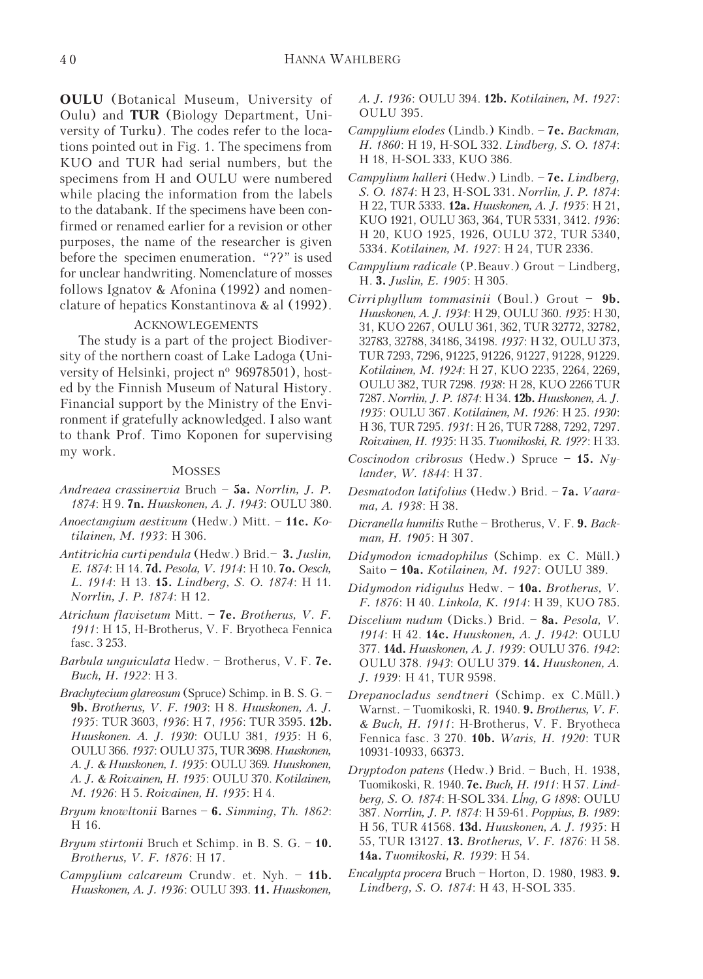OULU (Botanical Museum, University of Oulu) and TUR (Biology Department, University of Turku). The codes refer to the locations pointed out in Fig. 1. The specimens from KUO and TUR had serial numbers, but the specimens from H and OULU were numbered while placing the information from the labels to the databank. If the specimens have been confirmed or renamed earlier for a revision or other purposes, the name of the researcher is given before the specimen enumeration. "??" is used for unclear handwriting. Nomenclature of mosses follows Ignatov & Afonina (1992) and nomenclature of hepatics Konstantinova & al (1992).

### ACKNOWLEGEMENTS

The study is a part of the project Biodiversity of the northern coast of Lake Ladoga (University of Helsinki, project  $n^{\circ}$  96978501), hosted by the Finnish Museum of Natural History. Financial support by the Ministry of the Environment if gratefully acknowledged. I also want to thank Prof. Timo Koponen for supervising my work.

### **MOSSES**

- Andreaea crassinervia Bruch 5a. Norrlin, J. P. 1874: H 9. 7n. Huuskonen, A. J. 1943: OULU 380.
- Anoectangium aestivum (Hedw.) Mitt.  $-$  11c. Kotilainen, M. 1933: H 306.
- Antitrichia curti pendula (Hedw.) Brid. 3. Juslin, E. 1874: H 14. 7d. Pesola, V. 1914: H 10. 7o. Oesch, L. 1914: H 13. 15. Lindberg, S. O. 1874: H 11. Norrlin, J. P. 1874: H 12.
- Atrichum flavisetum Mitt.  $-7e$ . Brotherus, V. F. 1911: H 15, H-Brotherus, V. F. Bryotheca Fennica fasc. 3 253.
- Barbula unguiculata Hedw. Brotherus, V. F. 7e. Buch, H. 1922: H 3.
- Brachytecium glareosum (Spruce) Schimp. in B. S. G. 9b. Brotherus, V. F. 1903: H 8. Huuskonen, A. J. 1935: TUR 3603, 1936: H 7, 1956: TUR 3595. 12b. Huuskonen. A. J. 1930: OULU 381, 1935: H 6, OULU 366. 1937: OULU 375, TUR 3698. Huuskonen, A. J. & Huuskonen, I. 1935: OULU 369. Huuskonen, A. J. & Roivainen, H. 1935: OULU 370. Kotilainen, M. 1926: H 5. Roivainen, H. 1935: H 4.
- Bryum knowltonii Barnes  $6.$  Simming, Th. 1862: H 16.
- *Bryum stirtonii* Bruch et Schimp. in B. S. G.  $-10$ . Brotherus, V. F. 1876: H 17.
- *Campylium calcareum* Crundw. et. Nyh.  $-$  11b. Huuskonen, A. J. 1936: OULU 393. 11. Huuskonen,

A. J. 1936: OULU 394. 12b. Kotilainen, M. 1927: OULU 395.

- Campylium elodes (Lindb.) Kindb. **7e.** Backman, H. 1860: H 19, H-SOL 332. Lindberg, S. O. 1874: H 18, H-SOL 333, KUO 386.
- Campylium halleri (Hedw.) Lindb.  $-7e.$  Lindberg, S. O. 1874: H 23, H-SOL 331. Norrlin, J. P. 1874: H 22, TUR 5333. 12a. Huuskonen, A. J. 1935: H 21, KUO 1921, OULU 363, 364, TUR 5331, 3412. 1936: H 20, KUO 1925, 1926, OULU 372, TUR 5340, 5334. Kotilainen, M. 1927: H 24, TUR 2336.
- Campylium radicale (P.Beauv.) Grout Lindberg, H. 3. Juslin, E. 1905: H 305.
- Cirri phyllum tommasinii (Boul.) Grout  $-$  9b. Huuskonen, A. J. 1934: H 29, OULU 360. 1935: H 30, 31, KUO 2267, OULU 361, 362, TUR 32772, 32782, 32783, 32788, 34186, 34198. 1937: H 32, OULU 373, TUR 7293, 7296, 91225, 91226, 91227, 91228, 91229. Kotilainen, M. 1924: H 27, KUO 2235, 2264, 2269, OULU 382, TUR 7298. 1938: H 28, KUO 2266 TUR 7287. Norrlin, J. P. 1874: H 34. 12b. Huuskonen, A. J. 1935: OULU 367. Kotilainen, M. 1926: H 25. 1930: H 36, TUR 7295. 1931: H 26, TUR 7288, 7292, 7297. Roivainen, H. 1935: H 35. Tuomikoski, R. 19??: H 33.
- Coscinodon cribrosus (Hedw.) Spruce  $-$  15. Nylander, W. 1844: H 37.
- Desmatodon latifolius (Hedw.) Brid. **7a.** Vaarama, A. 1938: H 38.
- Dicranella humilis Ruthe Brotherus, V. F. 9. Backman, H. 1905: H 307.
- Didymodon icmadophilus (Schimp. ex C. Müll.) Saito - 10a. Kotilainen, M. 1927: OULU 389.
- Didymodon ridigulus Hedw. 10a. Brotherus, V. F. 1876: H 40. Linkola, K. 1914: H 39, KUO 785.
- Discelium nudum (Dicks.) Brid. 8a. Pesola, V. 1914: H 42. **14c.** Huuskonen, A. J. 1942: OULU 377. 14d. Huuskonen, A. J. 1939: OULU 376. 1942: OULU 378. 1943: OULU 379. 14. Huuskonen, A. J. 1939: H 41, TUR 9598.
- Drepanocladus sendtneri (Schimp. ex C.Müll.) Warnst. – Tuomikoski, R. 1940. 9. Brotherus, V. F. & Buch, H. 1911: H-Brotherus, V. F. Bryotheca Fennica fasc. 3 270. 10b. Waris, H. 1920: TUR 10931-10933, 66373.
- Dryptodon patens (Hedw.) Brid. Buch, H. 1938, Tuomikoski, R. 1940. 7e. Buch, H. 1911: H 57. Lindberg, S. O. 1874: H-SOL 334. Lĺng, G 1898: OULU 387. Norrlin, J. P. 1874: H 59-61. Poppius, B. 1989: H 56, TUR 41568. 13d. Huuskonen, A. J. 1935: H 55, TUR 13127. 13. Brotherus, V. F. 1876: H 58. 14a. Tuomikoski, R. 1939: H 54.
- Encalypta procera Bruch Horton, D. 1980, 1983. 9. Lindberg, S. O. 1874: H 43, H-SOL 335.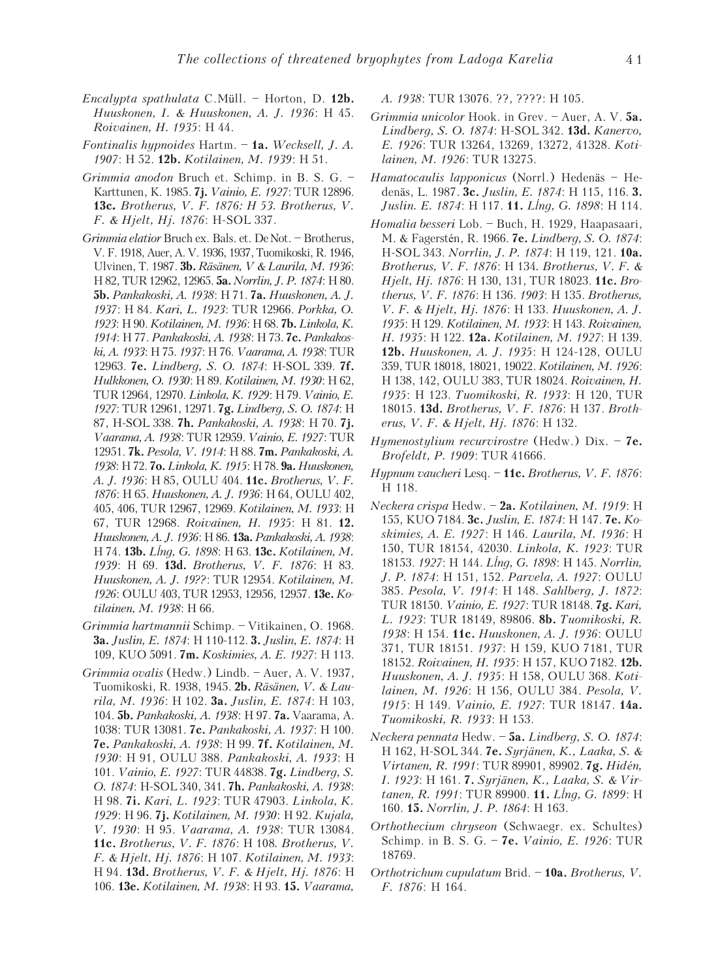- Encalypta spathulata C.Müll. Horton, D. 12b. Huuskonen, I. & Huuskonen, A. J. 1936: H 45. Roivainen, H. 1935: H 44.
- Fontinalis hypnoides Hartm.  $-$  1a. Wecksell, J. A. 1907: H 52. 12b. Kotilainen, M. 1939: H 51.
- Grimmia anodon Bruch et. Schimp. in B. S. G. Karttunen, K. 1985. **7j.** Vainio, E. 1927: TUR 12896. 13c. Brotherus, V. F. 1876: H 53. Brotherus, V. F. & Hjelt, Hj. 1876: H-SOL 337.
- Grimmia elatior Bruch ex. Bals. et. De Not. Brotherus, V. F. 1918, Auer, A. V. 1936, 1937, Tuomikoski, R. 1946, Ulvinen, T. 1987. **3b.** Räsänen, V & Laurila, M. 1936: H 82, TUR 12962, 12965, 5a, Norrlin, J. P. 1874: H 80. 5b. Pankakoski, A. 1938: H 71. 7a. Huuskonen, A. J. 1937: H 84. Kari, L. 1923: TUR 12966. Porkka, O. 1923: H 90. Kotilainen, M. 1936: H 68. 7b. Linkola, K. 1914: H 77. Pankakoski, A. 1938: H 73. 7c. Pankakoski, A. 1933: H 75. 1937: H 76. Vaarama, A. 1938: TUR 12963. 7e. Lindberg, S. O. 1874: H-SOL 339. 7f. Hulkkonen, O. 1930: H 89. Kotilainen, M. 1930: H 62, TUR 12964, 12970. Linkola, K. 1929: H 79. Vainio, E. 1927: TUR 12961, 12971. 7g. Lindberg, S. O. 1874: H 87, H-SOL 338. 7h. Pankakoski, A. 1938: H 70. 7j. Vaarama, A. 1938: TUR 12959. Vainio, E. 1927: TUR 12951. 7k. Pesola, V. 1914: H 88. 7m. Pankakoski, A. 1938: H 72. **7o.** Linkola, K. 1915: H 78. 9a. Huuskonen, A. J. 1936: H 85, OULU 404. 11c. Brotherus, V. F. 1876: H 65. Huuskonen, A. J. 1936: H 64, OULU 402, 405, 406, TUR 12967, 12969. Kotilainen, M. 1933: H 67, TUR 12968. Roivainen, H. 1935: H 81. 12. Huuskonen, A. J. 1936: H 86. 13a. Pankakoski, A. 1938: H 74. **13b.** *Ling, G. 1898*: H 63. **13c.** *Kotilainen, M.* 1939: H 69. 13d. Brotherus, V. F. 1876: H 83. Huuskonen, A. J. 19??: TUR 12954. Kotilainen, M. 1926: OULU 403, TUR 12953, 12956, 12957. 13e. Kotilainen, M. 1938: H 66.
- Grimmia hartmannii Schimp. Vitikainen, O. 1968. 3a. Juslin, E. 1874: H 110-112. 3. Juslin, E. 1874: H 109, KUO 5091. 7m. Koskimies, A. E. 1927: H 113.
- Grimmia ovalis (Hedw.) Lindb. Auer, A. V. 1937, Tuomikoski, R. 1938, 1945. 2b. Räsänen, V. & Laurila, M. 1936: H 102. 3a. Juslin, E. 1874: H 103, 104. 5b. Pankakoski, A. 1938: H 97. 7a. Vaarama, A. 1038: TUR 13081. 7c. Pankakoski, A. 1937: H 100. 7e. Pankakoski, A. 1938: H 99. 7f. Kotilainen, M. 1930: H 91, OULU 388. Pankakoski, A. 1933: H 101. Vainio, E. 1927: TUR 44838. 7g. Lindberg, S. O. 1874: H-SOL 340, 341. 7h. Pankakoski, A. 1938: H 98. 7i. Kari, L. 1923: TUR 47903. Linkola, K. 1929: H 96. 7j. Kotilainen, M. 1930: H 92. Kujala, V. 1930: H 95. Vaarama, A. 1938: TUR 13084. 11c. Brotherus, V. F. 1876: H 108. Brotherus, V. F. & Hjelt, Hj. 1876: H 107. Kotilainen, M. 1933: H 94. 13d. Brotherus, V. F. & Hjelt, Hj. 1876: H 106. 13e. Kotilainen, M. 1938: H 93. 15. Vaarama,

A. 1938: TUR 13076. ??, ????: H 105.

- Grimmia unicolor Hook. in Grev. Auer, A. V. 5a. Lindberg, S. O. 1874: H-SOL 342. 13d. Kanervo, E. 1926: TUR 13264, 13269, 13272, 41328. Kotilainen, M. 1926: TUR 13275.
- Hamatocaulis lapponicus (Norrl.) Hedenäs Hedenäs, L. 1987. 3c. *Juslin, E. 1874*: H 115, 116. 3. Juslin. E. 1874: H 117. 11. Lĺng, G. 1898: H 114.
- Homalia besseri Lob. Buch, H. 1929, Haapasaari, M. & Fagerstén, R. 1966. 7e. Lindberg, S. O. 1874: H-SOL 343. Norrlin, J. P. 1874: H 119, 121. 10a. Brotherus, V. F. 1876: H 134. Brotherus, V. F. & Hjelt, Hj. 1876: H 130, 131, TUR 18023. 11c. Brotherus, V. F. 1876: H 136. 1903: H 135. Brotherus, V. F. & Hjelt, Hj. 1876: H 133. Huuskonen, A. J. 1935: H 129. Kotilainen, M. 1933: H 143. Roivainen, H. 1935: H 122. **12a.** Kotilainen, M. 1927: H 139. 12b. Huuskonen, A. J. 1935: H 124-128, OULU 359, TUR 18018, 18021, 19022. Kotilainen, M. 1926: H 138, 142, OULU 383, TUR 18024. Roivainen, H. 1935: H 123. Tuomikoski, R. 1933: H 120, TUR 18015. 13d. Brotherus, V. F. 1876: H 137. Brotherus, V. F. & Hjelt, Hj. 1876: H 132.
- Hymenostylium recurvirostre (Hedw.) Dix.  $-$  7e. Brofeldt, P. 1909: TUR 41666.
- Hypnum vaucheri Lesq.  $-11c$ . Brotherus, V. F. 1876: H 118.
- Neckera crispa Hedw. 2a. Kotilainen, M. 1919: H 155, KUO 7184. 3c. Juslin, E. 1874: H 147. 7e. Koskimies, A. E. 1927: H 146. Laurila, M. 1936: H 150, TUR 18154, 42030. Linkola, K. 1923: TUR 18153. 1927: H 144. Lĺng, G. 1898: H 145. Norrlin, J. P. 1874: H 151, 152. Parvela, A. 1927: OULU 385. Pesola, V. 1914: H 148. Sahlberg, J. 1872: TUR 18150. Vainio, E. 1927: TUR 18148. 7g. Kari, L. 1923: TUR 18149, 89806. 8b. Tuomikoski, R. 1938: H 154. 11c. Huuskonen, A. J. 1936: OULU 371, TUR 18151. 1937: H 159, KUO 7181, TUR 18152. Roivainen, H. 1935: H 157, KUO 7182. 12b. Huuskonen, A. J. 1935: H 158, OULU 368. Kotilainen, M. 1926: H 156, OULU 384. Pesola, V. 1915: H 149. Vainio, E. 1927: TUR 18147. 14a. Tuomikoski, R. 1933: H 153.
- Neckera pennata Hedw.  $-$  5a. Lindberg, S. O. 1874: H 162, H-SOL 344. 7e. Syrjänen, K., Laaka, S. & Virtanen, R. 1991: TUR 89901, 89902. 7g. Hidén, I. 1923: H 161. 7. Syrjänen, K., Laaka, S. & Virtanen, R. 1991: TUR 89900. 11. Lĺng, G. 1899: H 160. 15. Norrlin, J. P. 1864: H 163.
- Orthothecium chryseon (Schwaegr. ex. Schultes) Schimp. in B. S. G. - **7e.** *Vainio, E. 1926*: TUR 18769.
- Orthotrichum cupulatum Brid. 10a. Brotherus, V. F. 1876: H 164.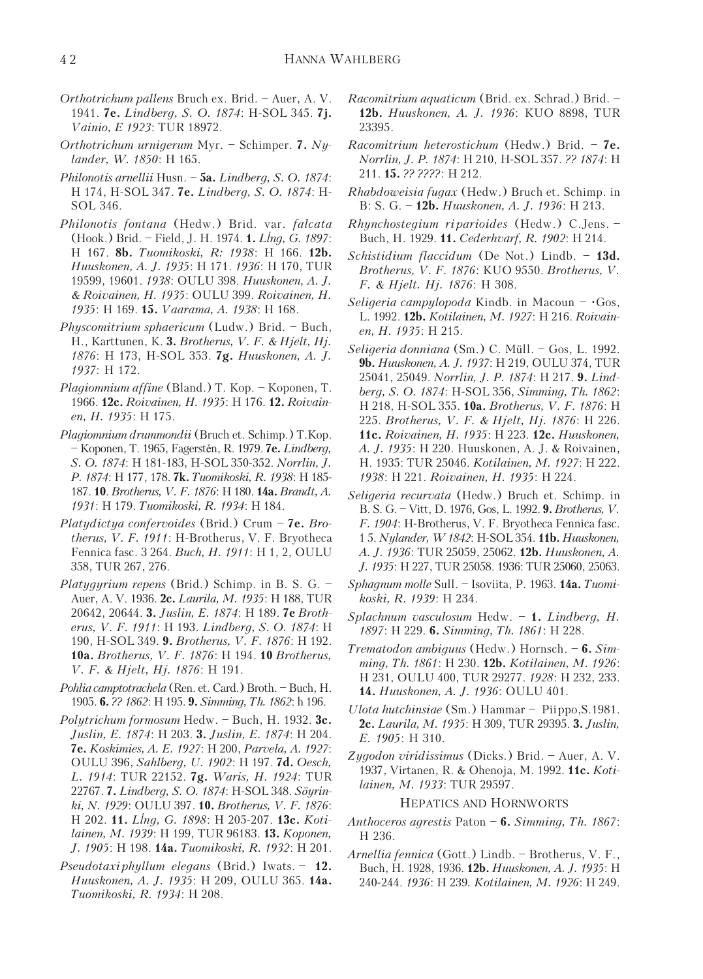- Orthotrichum pallens Bruch ex. Brid. Auer, A. V. 1941. **7e.** Lindberg, S. O. 1874: H-SOL 345. **7j.** Vainio, E 1923: TUR 18972.
- Orthotrichum urnigerum Myr. Schimper. 7. Nylander, W. 1850: H 165.
- Philonotis arnellii Husn.  $-$  5a. Lindberg, S. O. 1874: H 174, H-SOL 347. 7e. Lindberg, S. O. 1874: H-SOL 346.
- Philonotis fontana (Hedw.) Brid. var. falcata (Hook.) Brid. – Field, J. H. 1974. 1. Lĺng, G. 1897: H 167. 8b. Tuomikoski, R: 1938: H 166. 12b. Huuskonen, A. J. 1935: H 171. 1936: H 170, TUR 19599, 19601. 1938: OULU 398. Huuskonen, A. J. & Roivainen, H. 1935: OULU 399. Roivainen, H. 1935: H 169. 15. Vaarama, A. 1938: H 168.
- Physcomitrium sphaericum (Ludw.) Brid. Buch, H., Karttunen, K. 3. Brotherus, V. F. & Hjelt, Hj. 1876: H 173, H-SOL 353. 7g. Huuskonen, A. J. 1937: H 172.
- Plagiomnium affine (Bland.) T. Kop. Koponen, T. 1966. 12c. Roivainen, H. 1935: H 176. 12. Roivainen, H. 1935: H 175.
- Plagiomnium drummondii (Bruch et. Schimp.) T.Kop. – Koponen, T. 1965, Fagerstén, R. 1979. 7e. Lindberg, S. O. 1874: H 181-183, H-SOL 350-352. Norrlin, J. P. 1874: H 177, 178. 7k. Tuomikoski, R. 1938: H 185- 187. 10. Brotherus, V. F. 1876: H 180. 14a. Brandt, A. 1931: H 179. Tuomikoski, R. 1934: H 184.
- Platydictya confervoides (Brid.) Crum  $-$  **7e.** Brotherus, V. F. 1911: H-Brotherus, V. F. Bryotheca Fennica fasc. 3 264. Buch, H. 1911: H 1, 2, OULU 358, TUR 267, 276.
- Platygyrium repens (Brid.) Schimp. in B. S. G. Auer, A. V. 1936. 2c. *Laurila, M. 1935*: H 188, TUR 20642, 20644. 3. Juslin, E. 1874: H 189. 7e Brotherus, V. F. 1911: H 193. Lindberg, S. O. 1874: H 190, H-SOL 349. 9. Brotherus, V. F. 1876: H 192. 10a. Brotherus, V. F. 1876: H 194. 10 Brotherus, V. F. & Hjelt, Hj. 1876: H 191.
- Pohlia camptotrachela (Ren. et. Card.) Broth. Buch, H. 1905. 6. ?? 1862: H 195. 9. Simming, Th. 1862: h 196.
- Polytrichum formosum Hedw. Buch, H. 1932.  $3c$ . Juslin, E. 1874: H 203. 3. Juslin, E. 1874: H 204. 7e. Koskimies, A. E. 1927: H 200, Parvela, A. 1927: OULU 396, Sahlberg, U. 1902: H 197. 7d. Oesch, L. 1914: TUR 22152. 7g. Waris, H. 1924: TUR 22767. 7. Lindberg, S. O. 1874: H-SOL 348. Söyrinki, N. 1929: OULU 397. 10. Brotherus, V. F. 1876: H 202. 11. *Ling*, G. 1898: H 205-207. 13c. Kotilainen, M. 1939: H 199, TUR 96183. 13. Koponen, J. 1905: H 198. 14a. Tuomikoski, R. 1932: H 201.
- *Pseudotaxi phyllum elegans* (Brid.) Iwats.  $-12$ . Huuskonen, A. J. 1935: H 209, OULU 365. 14a. Tuomikoski, R. 1934: H 208.
- Racomitrium aquaticum (Brid. ex. Schrad.) Brid. 12b. Huuskonen, A. J. 1936: KUO 8898, TUR 23395.
- Racomitrium heterostichum (Hedw.) Brid.  $-7e$ . Norrlin, J. P. 1874: H 210, H-SOL 357. ?? 1874: H 211. 15. ?? ????: H 212.
- Rhabdoweisia fugax (Hedw.) Bruch et. Schimp. in B: S. G. - 12b. Huuskonen, A. J. 1936: H 213.
- Rhynchostegium ri parioides (Hedw.) C.Jens. Buch, H. 1929. 11. Cederhvarf, R. 1902: H 214.
- Schistidium flaccidum (De Not.) Lindb. 13d. Brotherus, V. F. 1876: KUO 9550. Brotherus, V. F. & Hjelt. Hj. 1876: H 308.
- Seligeria campylopoda Kindb. in Macoun  $-$  Gos, L. 1992. 12b. Kotilainen, M. 1927: H 216. Roivainen, H. 1935: H 215.
- Seligeria donniana (Sm.) C. Müll. Gos, L. 1992. 9b. Huuskonen, A. J. 1937: H 219, OULU 374, TUR 25041, 25049. Norrlin, J. P. 1874: H 217. 9. Lindberg, S. O. 1874: H-SOL 356, Simming, Th. 1862: H 218, H-SOL 355. 10a. Brotherus, V. F. 1876: H 225. Brotherus, V. F. & Hjelt, Hj. 1876: H 226. 11c. Roivainen, H. 1935: H 223. 12c. Huuskonen, A. J. 1935: H 220. Huuskonen, A. J. & Roivainen, H. 1935: TUR 25046. Kotilainen, M. 1927: H 222. 1938: H 221. Roivainen, H. 1935: H 224.
- Seligeria recurvata (Hedw.) Bruch et. Schimp. in B. S. G. – Vitt, D. 1976, Gos, L. 1992. 9. Brotherus, V. F. 1904: H-Brotherus, V. F. Bryotheca Fennica fasc. 1 5. Nylander, W 1842: H-SOL 354. 11b. Huuskonen, A. J. 1936: TUR 25059, 25062. **12b.** Huuskonen, A. J. 1935: H 227, TUR 25058. 1936: TUR 25060, 25063.
- Sphagnum molle Sull. Isoviita, P. 1963. 14a. Tuomikoski, R. 1939: H 234.
- Splachnum vasculosum Hedw. 1. Lindberg, H. 1897: H 229. 6. Simming, Th. 1861: H 228.
- Trematodon ambiguus (Hedw.) Hornsch. 6. Simming, Th. 1861: H 230. 12b. Kotilainen, M. 1926: H 231, OULU 400, TUR 29277. 1928: H 232, 233. 14. Huuskonen, A. J. 1936: OULU 401.
- Ulota hutchinsiae (Sm.) Hammar Piippo, S. 1981. 2c. Laurila, M. 1935: H 309, TUR 29395. 3. Juslin, E. 1905: H 310.
- Zygodon viridissimus (Dicks.) Brid. Auer, A. V. 1937, Virtanen, R. & Ohenoja, M. 1992. **11c.** Kotilainen, M. 1933: TUR 29597.

#### HEPATICS AND HORNWORTS

- Anthoceros agrestis Paton  $6.$  Simming, Th. 1867: H 236.
- Arnellia fennica (Gott.) Lindb. Brotherus, V. F., Buch, H. 1928, 1936. 12b. Huuskonen, A. J. 1935: H 240-244. 1936: H 239. Kotilainen, M. 1926: H 249.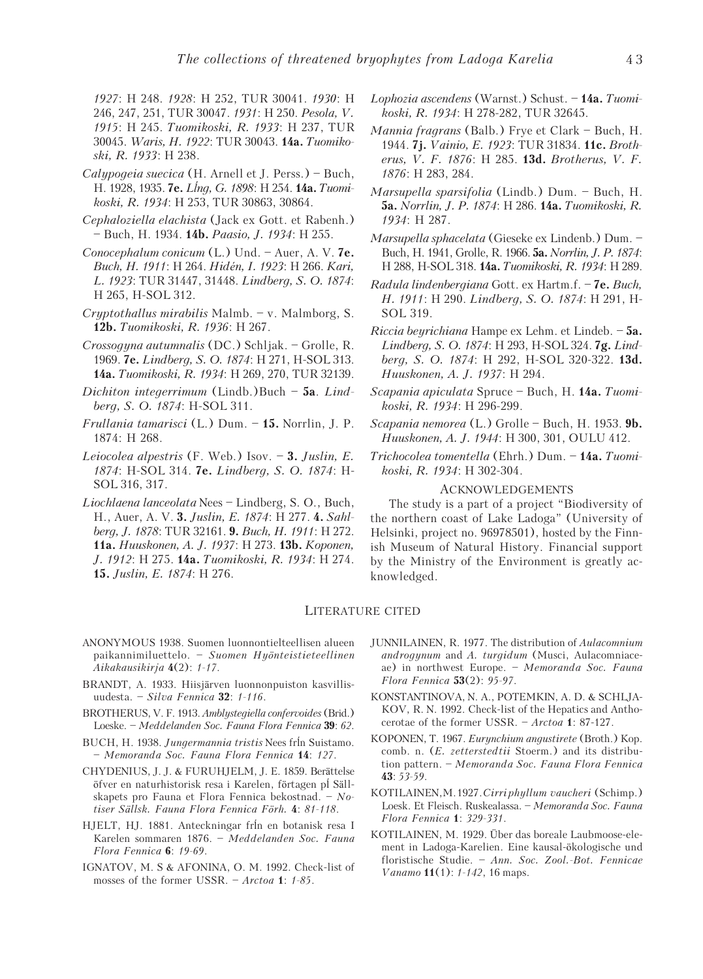1927: H 248. 1928: H 252, TUR 30041. 1930: H 246, 247, 251, TUR 30047. 1931: H 250. Pesola, V. 1915: H 245. Tuomikoski, R. 1933: H 237, TUR 30045. Waris, H. 1922: TUR 30043. 14a. Tuomikoski, R. 1933: H 238.

- Calypogeia suecica (H. Arnell et J. Perss.) Buch, H. 1928, 1935. 7e. Lĺng, G. 1898: H 254. 14a. Tuomikoski, R. 1934: H 253, TUR 30863, 30864.
- Cephaloziella elachista (Jack ex Gott. et Rabenh.) – Buch, H. 1934. 14b. Paasio, J. 1934: H 255.
- Conocephalum conicum  $(L)$  Und. Auer, A. V. **7e.** Buch, H. 1911: H 264. Hidén, I. 1923: H 266. Kari, L. 1923: TUR 31447, 31448. Lindberg, S. O. 1874: H 265, H-SOL 312.
- Cryptothallus mirabilis Malmb. v. Malmborg, S. 12b. Tuomikoski, R. 1936: H 267.
- Crossogyna autumnalis (DC.) Schljak. Grolle, R. 1969. 7e. Lindberg, S. O. 1874: H 271, H-SOL 313. 14a. Tuomikoski, R. 1934: H 269, 270, TUR 32139.
- Dichiton integerrimum (Lindb.)Buch  $-$  5a. Lindberg, S. O. 1874: H-SOL 311.
- Frullania tamarisci (L.) Dum. 15. Norrlin, J. P. 1874: H 268.
- Leiocolea alpestris  $(F. Web.)$  Isov.  $-3.$  Juslin, E. 1874: H-SOL 314. 7e. Lindberg, S. O. 1874: H-SOL 316, 317.
- Liochlaena lanceolata Nees Lindberg, S. O., Buch, H., Auer, A. V. 3. Juslin, E. 1874: H 277. 4. Sahlberg, J. 1878: TUR 32161. 9. Buch, H. 1911: H 272. 11a. Huuskonen, A. J. 1937: H 273. 13b. Koponen, J. 1912: H 275. 14a. Tuomikoski, R. 1934: H 274. 15. Juslin, E. 1874: H 276.
- Lophozia ascendens (Warnst.) Schust.  $-14a$ . Tuomikoski, R. 1934: H 278-282, TUR 32645.
- Mannia fragrans (Balb.) Frye et Clark Buch, H. 1944. 7j. Vainio, E. 1923: TUR 31834. 11c. Brotherus, V. F. 1876: H 285. 13d. Brotherus, V. F. 1876: H 283, 284.
- Marsupella sparsifolia (Lindb.) Dum. Buch, H. 5a. Norrlin, J. P. 1874: H 286. 14a. Tuomikoski, R. 1934: H 287.
- Marsupella sphacelata (Gieseke ex Lindenb.) Dum. Buch, H. 1941, Grolle, R. 1966. 5a. Norrlin, J. P. 1874: H 288, H-SOL 318. 14a. Tuomikoski, R. 1934: H 289.
- Radula lindenbergiana Gott. ex Hartm.f. 7e. Buch, H. 1911: H 290. Lindberg, S. O. 1874: H 291, H-SOL 319.
- Riccia beyrichiana Hampe ex Lehm. et Lindeb.  $-5a$ . Lindberg, S. O. 1874: H 293, H-SOL 324. 7g. Lindberg, S. O. 1874: H 292, H-SOL 320-322. 13d. Huuskonen, A. J. 1937: H 294.
- Scapania apiculata Spruce Buch, H. 14a. Tuomikoski, R. 1934: H 296-299.
- Scapania nemorea  $(L)$  Grolle Buch, H. 1953. **9b.** Huuskonen, A. J. 1944: H 300, 301, OULU 412.
- Trichocolea tomentella (Ehrh.) Dum. 14a. Tuomikoski, R. 1934: H 302-304.

#### ACKNOWLEDGEMENTS

The study is a part of a project "Biodiversity of the northern coast of Lake Ladoga" (University of Helsinki, project no. 96978501), hosted by the Finnish Museum of Natural History. Financial support by the Ministry of the Environment is greatly acknowledged.

### LITERATURE CITED

- ANONYMOUS 1938. Suomen luonnontielteellisen alueen paikannimiluettelo. – Suomen Hyönteistieteellinen Aikakausikirja 4(2): 1-17.
- BRANDT, A. 1933. Hiisjärven luonnonpuiston kasvillisuudesta. – Silva Fennica 32: 1-116.
- BROTHERUS, V. F. 1913. Amblystegiella confervoides (Brid.) Loeske. – Meddelanden Soc. Fauna Flora Fennica 39: 62.
- BUCH, H. 1938. Jungermannia tristis Nees frĺn Suistamo. – Memoranda Soc. Fauna Flora Fennica 14: 127.
- CHYDENIUS, J. J. & FURUHJELM, J. E. 1859. Berättelse öfver en naturhistorisk resa i Karelen, förtagen pĺ Sällskapets pro Fauna et Flora Fennica bekostnad. – Notiser Sällsk. Fauna Flora Fennica Förh. 4: 81-118.
- HJELT, HJ. 1881. Anteckningar frĺn en botanisk resa I Karelen sommaren 1876. – Meddelanden Soc. Fauna Flora Fennica 6: 19-69.
- IGNATOV, M. S & AFONINA, O. M. 1992. Check-list of mosses of the former USSR. - Arctoa 1: 1-85.
- JUNNILAINEN, R. 1977. The distribution of Aulacomnium androgynum and A. turgidum (Musci, Aulacomniaceae) in northwest Europe. – Memoranda Soc. Fauna Flora Fennica 53(2): 95-97.
- KONSTANTINOVA, N. A., POTEMKIN, A. D. & SCHLJA-KOV, R. N. 1992. Check-list of the Hepatics and Anthocerotae of the former USSR. – Arctoa 1: 87-127.
- KOPONEN, T. 1967. Eurynchium angustirete (Broth.) Kop. comb. n. (E. zetterstedtii Stoerm.) and its distribution pattern. - Memoranda Soc. Fauna Flora Fennica 43: 53-59.
- KOTILAINEN, M. 1927.Cirri phyllum vaucheri (Schimp.) Loesk. Et Fleisch. Ruskealassa. – Memoranda Soc. Fauna Flora Fennica 1: 329-331.
- KOTILAINEN, M. 1929. Über das boreale Laubmoose-element in Ladoga-Karelien. Eine kausal-ökologische und floristische Studie. – Ann. Soc. Zool.-Bot. Fennicae Vanamo 11(1): 1-142, 16 maps.